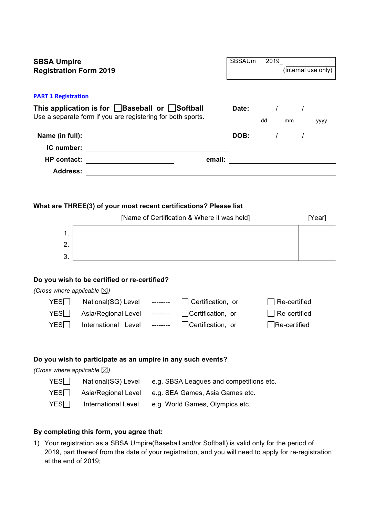| <b>SBSA Umpire</b><br><b>Registration Form 2019</b> |                                                                                                                           |                                                                                                                  | SBSAUm<br>2019<br>(Internal use only) |    |              |                                                             |
|-----------------------------------------------------|---------------------------------------------------------------------------------------------------------------------------|------------------------------------------------------------------------------------------------------------------|---------------------------------------|----|--------------|-------------------------------------------------------------|
| <b>PART 1 Registration</b>                          |                                                                                                                           |                                                                                                                  |                                       |    |              |                                                             |
|                                                     | This application is for $\Box$ Baseball or $\Box$ Softball<br>Use a separate form if you are registering for both sports. |                                                                                                                  |                                       | dd | mm           | Date: $\frac{1}{2}$ / $\frac{1}{2}$ / $\frac{1}{2}$<br>уууу |
|                                                     |                                                                                                                           |                                                                                                                  |                                       |    |              | DOB: $\frac{1}{\sqrt{2\pi}}$ / $\frac{1}{\sqrt{2\pi}}$      |
|                                                     |                                                                                                                           | IC number: <u>___________________________________</u>                                                            |                                       |    |              |                                                             |
| <b>Address:</b>                                     | HP contact: ______________________                                                                                        | email:                                                                                                           |                                       |    |              |                                                             |
| 1.<br>2.<br>3.                                      |                                                                                                                           | What are THREE(3) of your most recent certifications? Please list<br>[Name of Certification & Where it was held] |                                       |    |              | [Year]                                                      |
|                                                     | Do you wish to be certified or re-certified?                                                                              |                                                                                                                  |                                       |    |              |                                                             |
| (Cross where applicable $\boxtimes$ )               |                                                                                                                           |                                                                                                                  |                                       |    |              |                                                             |
| YES                                                 | National(SG) Level --------                                                                                               | Certification, or                                                                                                |                                       |    | Re-certified |                                                             |
| YES∏                                                | Asia/Regional Level --------                                                                                              | Certification, or                                                                                                |                                       |    | Re-certified |                                                             |
| $YES\Box$                                           | International Level                                                                                                       | Certification, or<br>$- - - - - - -$                                                                             |                                       |    | Re-certified |                                                             |
|                                                     |                                                                                                                           | Do you wish to participate as an umpire in any such events?                                                      |                                       |    |              |                                                             |
| (Cross where applicable $\boxtimes$ )               |                                                                                                                           |                                                                                                                  |                                       |    |              |                                                             |
| YES                                                 | National(SG) Level                                                                                                        | e.g. SBSA Leagues and competitions etc.                                                                          |                                       |    |              |                                                             |
| YES                                                 | Asia/Regional Level                                                                                                       | e.g. SEA Games, Asia Games etc.                                                                                  |                                       |    |              |                                                             |
| YES                                                 | <b>International Level</b>                                                                                                | e.g. World Games, Olympics etc.                                                                                  |                                       |    |              |                                                             |

## **By completing this form, you agree that:**

1) Your registration as a SBSA Umpire(Baseball and/or Softball) is valid only for the period of 2019, part thereof from the date of your registration, and you will need to apply for re-registration at the end of 2019;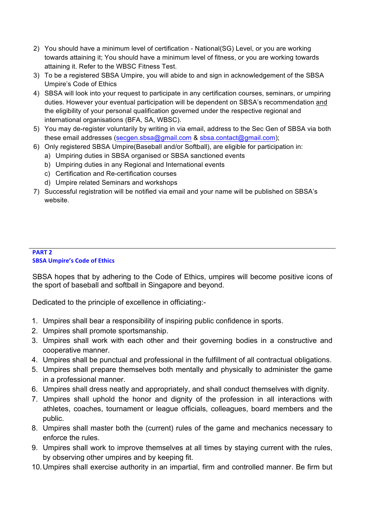- 2) You should have a minimum level of certification National(SG) Level, or you are working towards attaining it; You should have a minimum level of fitness, or you are working towards attaining it. Refer to the WBSC Fitness Test.
- 3) To be a registered SBSA Umpire, you will abide to and sign in acknowledgement of the SBSA Umpire's Code of Ethics
- 4) SBSA will look into your request to participate in any certification courses, seminars, or umpiring duties. However your eventual participation will be dependent on SBSA's recommendation and the eligibility of your personal qualification governed under the respective regional and international organisations (BFA, SA, WBSC).
- 5) You may de-register voluntarily by writing in via email, address to the Sec Gen of SBSA via both these email addresses (secgen.sbsa@gmail.com & sbsa.contact@gmail.com);
- 6) Only registered SBSA Umpire(Baseball and/or Softball), are eligible for participation in:
	- a) Umpiring duties in SBSA organised or SBSA sanctioned events
	- b) Umpiring duties in any Regional and International events
	- c) Certification and Re-certification courses
	- d) Umpire related Seminars and workshops
- 7) Successful registration will be notified via email and your name will be published on SBSA's website.

## **PART 2 SBSA Umpire's Code of Ethics**

SBSA hopes that by adhering to the Code of Ethics, umpires will become positive icons of the sport of baseball and softball in Singapore and beyond.

Dedicated to the principle of excellence in officiating:-

- 1. Umpires shall bear a responsibility of inspiring public confidence in sports.
- 2. Umpires shall promote sportsmanship.
- 3. Umpires shall work with each other and their governing bodies in a constructive and cooperative manner.
- 4. Umpires shall be punctual and professional in the fulfillment of all contractual obligations.
- 5. Umpires shall prepare themselves both mentally and physically to administer the game in a professional manner.
- 6. Umpires shall dress neatly and appropriately, and shall conduct themselves with dignity.
- 7. Umpires shall uphold the honor and dignity of the profession in all interactions with athletes, coaches, tournament or league officials, colleagues, board members and the public.
- 8. Umpires shall master both the (current) rules of the game and mechanics necessary to enforce the rules.
- 9. Umpires shall work to improve themselves at all times by staying current with the rules, by observing other umpires and by keeping fit.
- 10.Umpires shall exercise authority in an impartial, firm and controlled manner. Be firm but